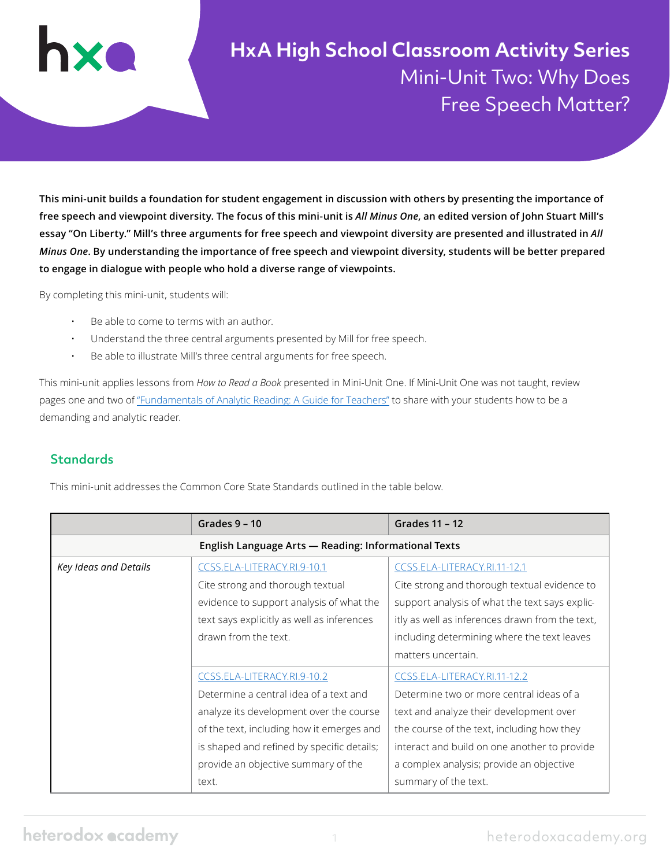**HxA High School Classroom Activity Series** Mini-Unit Two: Why Does Free Speech Matter?

**This mini-unit builds a foundation for student engagement in discussion with others by presenting the importance of free speech and viewpoint diversity. The focus of this mini-unit is** *All Minus One***, an edited version of John Stuart Mill's essay "On Liberty." Mill's three arguments for free speech and viewpoint diversity are presented and illustrated in** *All Minus One***. By understanding the importance of free speech and viewpoint diversity, students will be better prepared to engage in dialogue with people who hold a diverse range of viewpoints.**

By completing this mini-unit, students will:

- Be able to come to terms with an author.
- Understand the three central arguments presented by Mill for free speech.
- Be able to illustrate Mill's three central arguments for free speech.

This mini-unit applies lessons from *How to Read a Book* presented in Mini-Unit One. If Mini-Unit One was not taught, review pages one and two of ["Fundamentals of Analytic Reading: A Guide for Teachers"](https://heterodoxacademy.org/wp-content/uploads/2021/05/How-to-Read-a-Book-Fundamentals-of-Analytic-Reading.pdf) to share with your students how to be a demanding and analytic reader.

#### **Standards**

This mini-unit addresses the Common Core State Standards outlined in the table below.

|                                                      | Grades $9 - 10$                            | Grades 11 - 12                                  |  |  |
|------------------------------------------------------|--------------------------------------------|-------------------------------------------------|--|--|
| English Language Arts - Reading: Informational Texts |                                            |                                                 |  |  |
| Key Ideas and Details                                | CCSS.ELA-LITERACY.RI.9-10.1                | CCSS.ELA-LITERACY.RI.11-12.1                    |  |  |
|                                                      | Cite strong and thorough textual           | Cite strong and thorough textual evidence to    |  |  |
|                                                      | evidence to support analysis of what the   | support analysis of what the text says explic-  |  |  |
|                                                      | text says explicitly as well as inferences | itly as well as inferences drawn from the text, |  |  |
|                                                      | drawn from the text.                       | including determining where the text leaves     |  |  |
|                                                      |                                            | matters uncertain.                              |  |  |
|                                                      | CCSS.ELA-LITERACY.RI.9-10.2                | CCSS.ELA-LITERACY.RI.11-12.2                    |  |  |
|                                                      | Determine a central idea of a text and     | Determine two or more central ideas of a        |  |  |
|                                                      | analyze its development over the course    | text and analyze their development over         |  |  |
|                                                      | of the text, including how it emerges and  | the course of the text, including how they      |  |  |
|                                                      | is shaped and refined by specific details; | interact and build on one another to provide    |  |  |
|                                                      | provide an objective summary of the        | a complex analysis; provide an objective        |  |  |
|                                                      | text.                                      | summary of the text.                            |  |  |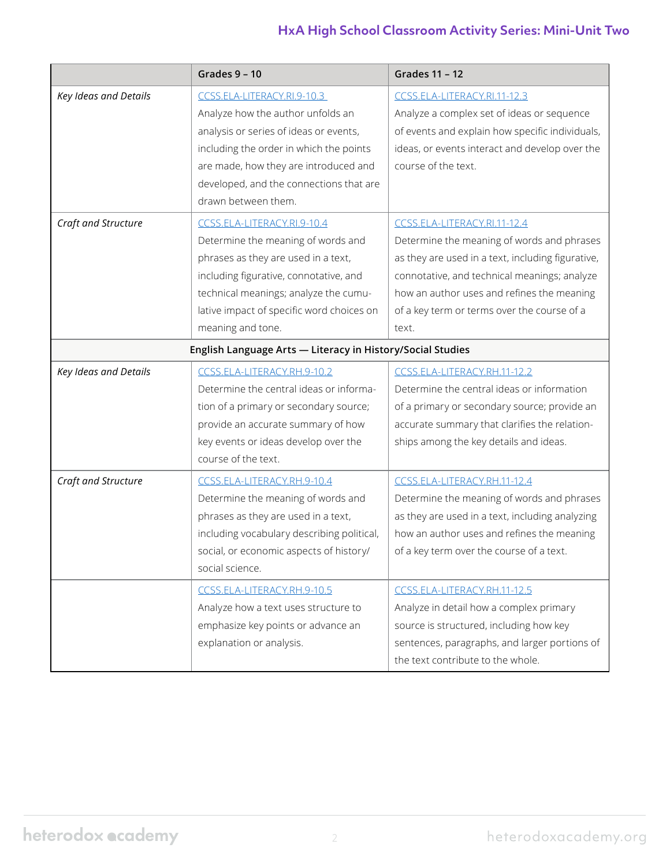# **HxA High School Classroom Activity Series: Mini-Unit Two**

|                       | Grades $9 - 10$                                            | Grades 11 - 12                                    |
|-----------------------|------------------------------------------------------------|---------------------------------------------------|
| Key Ideas and Details | CCSS.ELA-LITERACY.RI.9-10.3                                | CCSS.ELA-LITERACY.RI.11-12.3                      |
|                       | Analyze how the author unfolds an                          | Analyze a complex set of ideas or sequence        |
|                       | analysis or series of ideas or events,                     | of events and explain how specific individuals,   |
|                       | including the order in which the points                    | ideas, or events interact and develop over the    |
|                       | are made, how they are introduced and                      | course of the text.                               |
|                       | developed, and the connections that are                    |                                                   |
|                       | drawn between them.                                        |                                                   |
| Craft and Structure   | CCSS.ELA-LITERACY.RI.9-10.4                                | CCSS.ELA-LITERACY.RI.11-12.4                      |
|                       | Determine the meaning of words and                         | Determine the meaning of words and phrases        |
|                       | phrases as they are used in a text,                        | as they are used in a text, including figurative, |
|                       | including figurative, connotative, and                     | connotative, and technical meanings; analyze      |
|                       | technical meanings; analyze the cumu-                      | how an author uses and refines the meaning        |
|                       | lative impact of specific word choices on                  | of a key term or terms over the course of a       |
|                       | meaning and tone.                                          | text.                                             |
|                       | English Language Arts - Literacy in History/Social Studies |                                                   |
| Key Ideas and Details | CCSS.ELA-LITERACY.RH.9-10.2                                | CCSS.ELA-LITERACY.RH.11-12.2                      |
|                       | Determine the central ideas or informa-                    | Determine the central ideas or information        |
|                       | tion of a primary or secondary source;                     | of a primary or secondary source; provide an      |
|                       | provide an accurate summary of how                         | accurate summary that clarifies the relation-     |
|                       | key events or ideas develop over the                       | ships among the key details and ideas.            |
|                       | course of the text.                                        |                                                   |
| Craft and Structure   | CCSS.ELA-LITERACY.RH.9-10.4                                | CCSS.ELA-LITERACY.RH.11-12.4                      |
|                       | Determine the meaning of words and                         | Determine the meaning of words and phrases        |
|                       | phrases as they are used in a text,                        | as they are used in a text, including analyzing   |
|                       | including vocabulary describing political,                 | how an author uses and refines the meaning        |
|                       | social, or economic aspects of history/                    | of a key term over the course of a text.          |
|                       | social science.                                            |                                                   |
|                       | CCSS.ELA-LITERACY.RH.9-10.5                                | CCSS.ELA-LITERACY.RH.11-12.5                      |
|                       | Analyze how a text uses structure to                       | Analyze in detail how a complex primary           |
|                       | emphasize key points or advance an                         | source is structured, including how key           |
|                       | explanation or analysis.                                   | sentences, paragraphs, and larger portions of     |
|                       |                                                            | the text contribute to the whole.                 |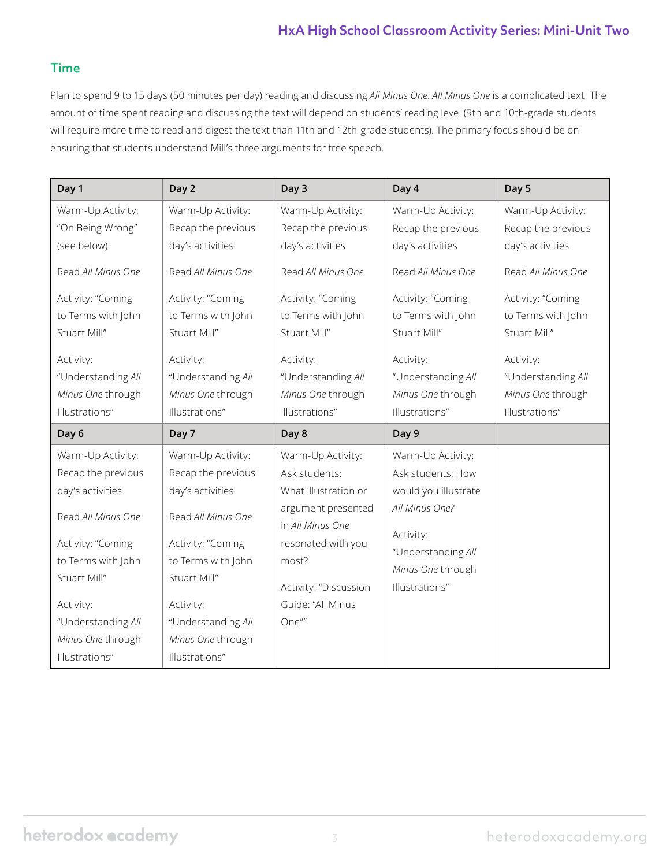#### **HxA High School Classroom Activity Series: Mini-Unit Two**

#### Time

Plan to spend 9 to 15 days (50 minutes per day) reading and discussing *All Minus One*. *All Minus One* is a complicated text. The amount of time spent reading and discussing the text will depend on students' reading level (9th and 10th-grade students will require more time to read and digest the text than 11th and 12th-grade students). The primary focus should be on ensuring that students understand Mill's three arguments for free speech.

| Day 1              | Day 2              | Day 3                                  | Day 4                               | Day 5              |
|--------------------|--------------------|----------------------------------------|-------------------------------------|--------------------|
| Warm-Up Activity:  | Warm-Up Activity:  | Warm-Up Activity:                      | Warm-Up Activity:                   | Warm-Up Activity:  |
| "On Being Wrong"   | Recap the previous | Recap the previous                     | Recap the previous                  | Recap the previous |
| (see below)        | day's activities   | day's activities                       | day's activities                    | day's activities   |
| Read All Minus One | Read All Minus One | Read All Minus One                     | Read All Minus One                  | Read All Minus One |
| Activity: "Coming  | Activity: "Coming  | Activity: "Coming                      | Activity: "Coming                   | Activity: "Coming  |
| to Terms with John | to Terms with John | to Terms with John                     | to Terms with John                  | to Terms with John |
| Stuart Mill"       | Stuart Mill"       | Stuart Mill"                           | Stuart Mill"                        | Stuart Mill"       |
| Activity:          | Activity:          | Activity:                              | Activity:                           | Activity:          |
| "Understanding All | "Understanding All | "Understanding All                     | "Understanding All                  | "Understanding All |
| Minus One through  | Minus One through  | Minus One through                      | Minus One through                   | Minus One through  |
| Illustrations"     | Illustrations"     | Illustrations"                         | Illustrations"                      | Illustrations"     |
| Day 6              | Day 7              | Day 8                                  | Day 9                               |                    |
|                    |                    |                                        |                                     |                    |
| Warm-Up Activity:  | Warm-Up Activity:  | Warm-Up Activity:                      | Warm-Up Activity:                   |                    |
| Recap the previous | Recap the previous | Ask students:                          | Ask students: How                   |                    |
| day's activities   | day's activities   | What illustration or                   | would you illustrate                |                    |
| Read All Minus One | Read All Minus One | argument presented<br>in All Minus One | All Minus One?                      |                    |
| Activity: "Coming  | Activity: "Coming  | resonated with you                     | Activity:                           |                    |
| to Terms with John | to Terms with John | most?                                  | "Understanding All                  |                    |
| Stuart Mill"       | Stuart Mill"       | Activity: "Discussion                  | Minus One through<br>Illustrations" |                    |
| Activity:          | Activity:          | Guide: "All Minus                      |                                     |                    |
| "Understanding All | "Understanding All | One""                                  |                                     |                    |
| Minus One through  | Minus One through  |                                        |                                     |                    |